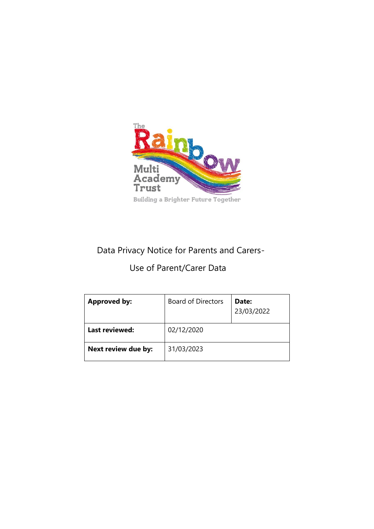

# Data Privacy Notice for Parents and Carers-

# Use of Parent/Carer Data

| <b>Approved by:</b>   | <b>Board of Directors</b> | Date:<br>23/03/2022 |
|-----------------------|---------------------------|---------------------|
| <b>Last reviewed:</b> | 02/12/2020                |                     |
| Next review due by:   | 31/03/2023                |                     |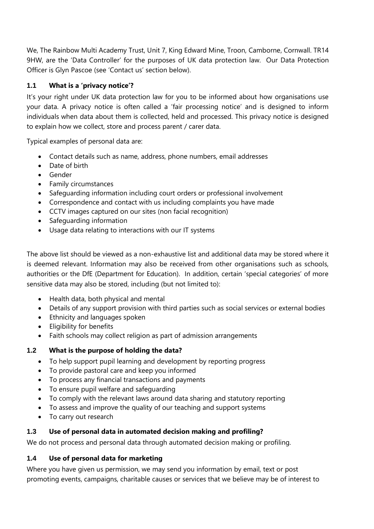We, The Rainbow Multi Academy Trust, Unit 7, King Edward Mine, Troon, Camborne, Cornwall. TR14 9HW, are the 'Data Controller' for the purposes of UK data protection law. Our Data Protection Officer is Glyn Pascoe (see 'Contact us' section below).

# **1.1 What is a 'privacy notice'?**

It's your right under UK data protection law for you to be informed about how organisations use your data. A privacy notice is often called a 'fair processing notice' and is designed to inform individuals when data about them is collected, held and processed. This privacy notice is designed to explain how we collect, store and process parent / carer data.

Typical examples of personal data are:

- Contact details such as name, address, phone numbers, email addresses
- Date of birth
- Gender
- Family circumstances
- Safeguarding information including court orders or professional involvement
- Correspondence and contact with us including complaints you have made
- CCTV images captured on our sites (non facial recognition)
- Safeguarding information
- Usage data relating to interactions with our IT systems

The above list should be viewed as a non-exhaustive list and additional data may be stored where it is deemed relevant. Information may also be received from other organisations such as schools, authorities or the DfE (Department for Education). In addition, certain 'special categories' of more sensitive data may also be stored, including (but not limited to):

- Health data, both physical and mental
- Details of any support provision with third parties such as social services or external bodies
- Ethnicity and languages spoken
- Eligibility for benefits
- Faith schools may collect religion as part of admission arrangements

## **1.2 What is the purpose of holding the data?**

- To help support pupil learning and development by reporting progress
- To provide pastoral care and keep you informed
- To process any financial transactions and payments
- To ensure pupil welfare and safeguarding
- To comply with the relevant laws around data sharing and statutory reporting
- To assess and improve the quality of our teaching and support systems
- To carry out research

# **1.3 Use of personal data in automated decision making and profiling?**

We do not process and personal data through automated decision making or profiling.

# **1.4 Use of personal data for marketing**

Where you have given us permission, we may send you information by email, text or post promoting events, campaigns, charitable causes or services that we believe may be of interest to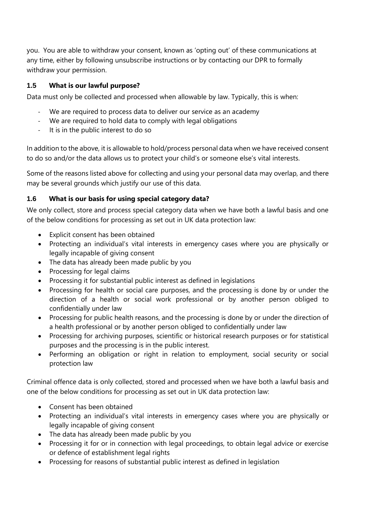you. You are able to withdraw your consent, known as 'opting out' of these communications at any time, either by following unsubscribe instructions or by contacting our DPR to formally withdraw your permission.

# **1.5 What is our lawful purpose?**

Data must only be collected and processed when allowable by law. Typically, this is when:

- We are required to process data to deliver our service as an academy
- We are required to hold data to comply with legal obligations
- It is in the public interest to do so

In addition to the above, it is allowable to hold/process personal data when we have received consent to do so and/or the data allows us to protect your child's or someone else's vital interests.

Some of the reasons listed above for collecting and using your personal data may overlap, and there may be several grounds which justify our use of this data.

## **1.6 What is our basis for using special category data?**

We only collect, store and process special category data when we have both a lawful basis and one of the below conditions for processing as set out in UK data protection law:

- Explicit consent has been obtained
- Protecting an individual's vital interests in emergency cases where you are physically or legally incapable of giving consent
- The data has already been made public by you
- Processing for legal claims
- Processing it for substantial public interest as defined in legislations
- Processing for health or social care purposes, and the processing is done by or under the direction of a health or social work professional or by another person obliged to confidentially under law
- Processing for public health reasons, and the processing is done by or under the direction of a health professional or by another person obliged to confidentially under law
- Processing for archiving purposes, scientific or historical research purposes or for statistical purposes and the processing is in the public interest.
- Performing an obligation or right in relation to employment, social security or social protection law

Criminal offence data is only collected, stored and processed when we have both a lawful basis and one of the below conditions for processing as set out in UK data protection law:

- Consent has been obtained
- Protecting an individual's vital interests in emergency cases where you are physically or legally incapable of giving consent
- The data has already been made public by you
- Processing it for or in connection with legal proceedings, to obtain legal advice or exercise or defence of establishment legal rights
- Processing for reasons of substantial public interest as defined in legislation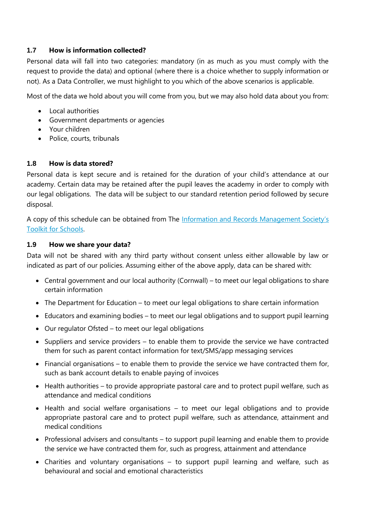## **1.7 How is information collected?**

Personal data will fall into two categories: mandatory (in as much as you must comply with the request to provide the data) and optional (where there is a choice whether to supply information or not). As a Data Controller, we must highlight to you which of the above scenarios is applicable.

Most of the data we hold about you will come from you, but we may also hold data about you from:

- Local authorities
- Government departments or agencies
- Your children
- Police, courts, tribunals

## **1.8 How is data stored?**

Personal data is kept secure and is retained for the duration of your child's attendance at our academy. Certain data may be retained after the pupil leaves the academy in order to comply with our legal obligations. The data will be subject to our standard retention period followed by secure disposal.

A copy of this schedule can be obtained from The [Information and Records Management Society's](http://irms.org.uk/?page=schoolstoolkit&terms=%22toolkit+and+schools%22)  [Toolkit for Schools.](http://irms.org.uk/?page=schoolstoolkit&terms=%22toolkit+and+schools%22)

## **1.9 How we share your data?**

Data will not be shared with any third party without consent unless either allowable by law or indicated as part of our policies. Assuming either of the above apply, data can be shared with:

- Central government and our local authority (Cornwall) to meet our legal obligations to share certain information
- The Department for Education to meet our legal obligations to share certain information
- Educators and examining bodies to meet our legal obligations and to support pupil learning
- Our regulator Ofsted to meet our legal obligations
- Suppliers and service providers to enable them to provide the service we have contracted them for such as parent contact information for text/SMS/app messaging services
- Financial organisations to enable them to provide the service we have contracted them for, such as bank account details to enable paying of invoices
- Health authorities to provide appropriate pastoral care and to protect pupil welfare, such as attendance and medical conditions
- Health and social welfare organisations to meet our legal obligations and to provide appropriate pastoral care and to protect pupil welfare, such as attendance, attainment and medical conditions
- Professional advisers and consultants to support pupil learning and enable them to provide the service we have contracted them for, such as progress, attainment and attendance
- Charities and voluntary organisations to support pupil learning and welfare, such as behavioural and social and emotional characteristics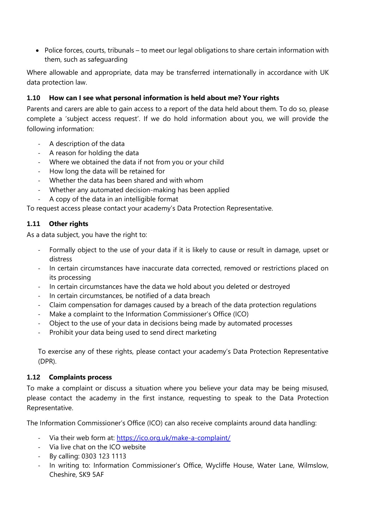• Police forces, courts, tribunals – to meet our legal obligations to share certain information with them, such as safeguarding

Where allowable and appropriate, data may be transferred internationally in accordance with UK data protection law.

# **1.10 How can I see what personal information is held about me? Your rights**

Parents and carers are able to gain access to a report of the data held about them. To do so, please complete a 'subject access request'. If we do hold information about you, we will provide the following information:

- A description of the data
- A reason for holding the data
- Where we obtained the data if not from you or your child
- How long the data will be retained for
- Whether the data has been shared and with whom
- Whether any automated decision-making has been applied
- A copy of the data in an intelligible format

To request access please contact your academy's Data Protection Representative.

## **1.11 Other rights**

As a data subject, you have the right to:

- Formally object to the use of your data if it is likely to cause or result in damage, upset or distress
- In certain circumstances have inaccurate data corrected, removed or restrictions placed on its processing
- In certain circumstances have the data we hold about you deleted or destroyed
- In certain circumstances, be notified of a data breach
- Claim compensation for damages caused by a breach of the data protection regulations
- Make a complaint to the Information Commissioner's Office (ICO)
- Object to the use of your data in decisions being made by automated processes
- Prohibit your data being used to send direct marketing

To exercise any of these rights, please contact your academy's Data Protection Representative (DPR).

## **1.12 Complaints process**

To make a complaint or discuss a situation where you believe your data may be being misused, please contact the academy in the first instance, requesting to speak to the Data Protection Representative.

The Information Commissioner's Office (ICO) can also receive complaints around data handling:

- Via their web form at:<https://ico.org.uk/make-a-complaint/>
- Via live chat on the ICO website
- By calling: 0303 123 1113
- In writing to: Information Commissioner's Office, Wycliffe House, Water Lane, Wilmslow, Cheshire, SK9 5AF